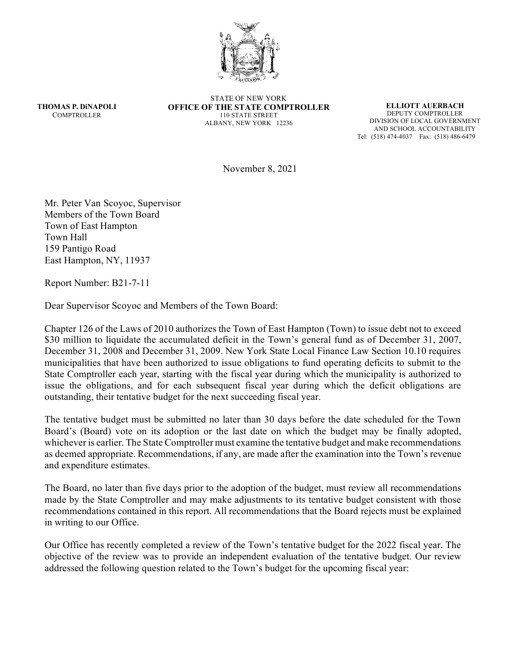

**THOMAS P. DiNAPOLI COMPTROLLER** 

STATE OF NEW YORK **OFFICE OF THE STATE COMPTROLLER** 110 STATE STREET ALBANY, NEW YORK 12236

**ELLIOTT AUERBACH** DEPUTY COMPTROLLER DIVISION OF LOCAL GOVERNMENT AND SCHOOL ACCOUNTABILITY Tel: (518) 474-4037 Fax: (518) 486-6479

November 8, 2021

Mr. Peter Van Scoyoc, Supervisor Members of the Town Board Town of East Hampton Town Hall 159 Pantigo Road East Hampton, NY, 11937

Report Number: B21-7-11

Dear Supervisor Scoyoc and Members of the Town Board:

Chapter 126 of the Laws of 2010 authorizes the Town of East Hampton (Town) to issue debt not to exceed \$30 million to liquidate the accumulated deficit in the Town's general fund as of December 31, 2007, December 31, 2008 and December 31, 2009. New York State Local Finance Law Section 10.10 requires municipalities that have been authorized to issue obligations to fund operating deficits to submit to the State Comptroller each year, starting with the fiscal year during which the municipality is authorized to issue the obligations, and for each subsequent fiscal year during which the deficit obligations are outstanding, their tentative budget for the next succeeding fiscal year.

The tentative budget must be submitted no later than 30 days before the date scheduled for the Town Board's (Board) vote on its adoption or the last date on which the budget may be finally adopted, whichever is earlier. The State Comptroller must examine the tentative budget and make recommendations as deemed appropriate. Recommendations, if any, are made after the examination into the Town's revenue and expenditure estimates.

The Board, no later than five days prior to the adoption of the budget, must review all recommendations made by the State Comptroller and may make adjustments to its tentative budget consistent with those recommendations contained in this report. All recommendations that the Board rejects must be explained in writing to our Office.

Our Office has recently completed a review of the Town's tentative budget for the 2022 fiscal year. The objective of the review was to provide an independent evaluation of the tentative budget. Our review addressed the following question related to the Town's budget for the upcoming fiscal year: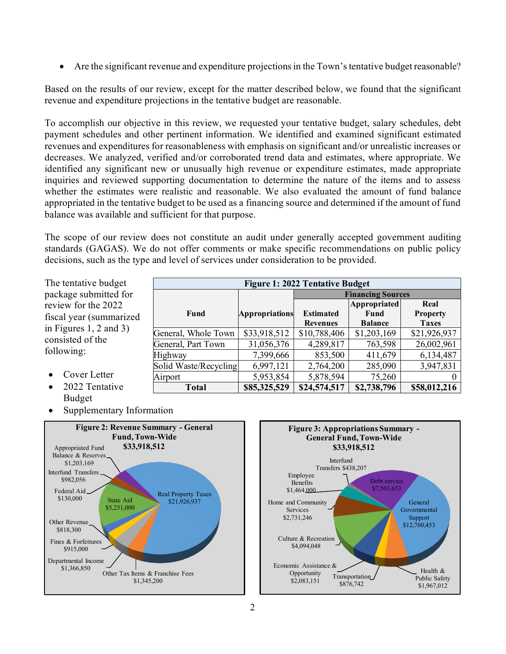• Are the significant revenue and expenditure projections in the Town's tentative budget reasonable?

Based on the results of our review, except for the matter described below, we found that the significant revenue and expenditure projections in the tentative budget are reasonable.

To accomplish our objective in this review, we requested your tentative budget, salary schedules, debt payment schedules and other pertinent information. We identified and examined significant estimated revenues and expenditures for reasonableness with emphasis on significant and/or unrealistic increases or decreases. We analyzed, verified and/or corroborated trend data and estimates, where appropriate. We identified any significant new or unusually high revenue or expenditure estimates, made appropriate inquiries and reviewed supporting documentation to determine the nature of the items and to assess whether the estimates were realistic and reasonable. We also evaluated the amount of fund balance appropriated in the tentative budget to be used as a financing source and determined if the amount of fund balance was available and sufficient for that purpose.

The scope of our review does not constitute an audit under generally accepted government auditing standards (GAGAS). We do not offer comments or make specific recommendations on public policy decisions, such as the type and level of services under consideration to be provided.

| The tentative budget                                                                                                                | <b>Figure 1: 2022 Tentative Budget</b> |                       |                  |                          |                 |  |
|-------------------------------------------------------------------------------------------------------------------------------------|----------------------------------------|-----------------------|------------------|--------------------------|-----------------|--|
| package submitted for<br>review for the 2022<br>fiscal year (summarized<br>in Figures 1, 2 and 3)<br>consisted of the<br>following: |                                        |                       |                  | <b>Financing Sources</b> |                 |  |
|                                                                                                                                     | Fund                                   | <b>Appropriations</b> |                  | <b>Appropriated</b>      | Real            |  |
|                                                                                                                                     |                                        |                       | <b>Estimated</b> | Fund                     | <b>Property</b> |  |
|                                                                                                                                     |                                        |                       | <b>Revenues</b>  | <b>Balance</b>           | <b>Taxes</b>    |  |
|                                                                                                                                     | General, Whole Town                    | \$33,918,512          | \$10,788,406     | \$1,203,169              | \$21,926,937    |  |
|                                                                                                                                     | General, Part Town                     | 31,056,376            | 4,289,817        | 763,598                  | 26,002,961      |  |
|                                                                                                                                     | Highway                                | 7,399,666             | 853,500          | 411,679                  | 6,134,487       |  |
|                                                                                                                                     | Solid Waste/Recycling                  | 6,997,121             | 2,764,200        | 285,090                  | 3,947,831       |  |
| Cover Letter<br>$\bullet$                                                                                                           | Airport                                | 5,953,854             | 5,878,594        | 75,260                   |                 |  |
| 2022 Tentative                                                                                                                      | <b>Total</b>                           | \$85,325,529          | \$24,574,517     | \$2,738,796              | \$58,012,216    |  |

- 2022 Tentative Budget
- Supplementary Information



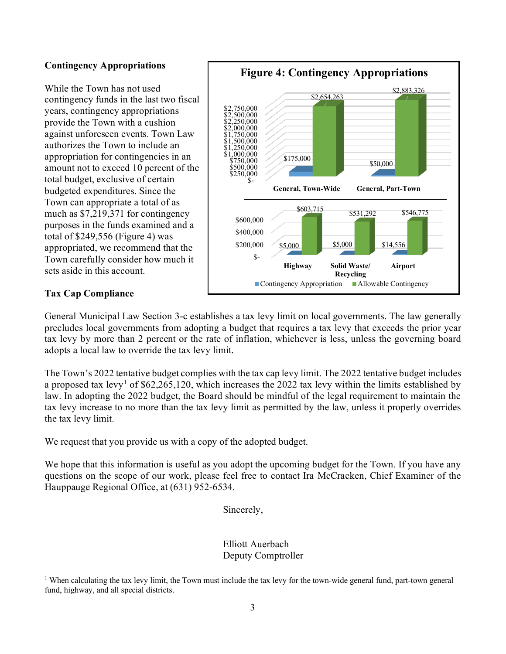## **Contingency Appropriations**

While the Town has not used contingency funds in the last two fiscal years, contingency appropriations provide the Town with a cushion against unforeseen events. Town Law authorizes the Town to include an appropriation for contingencies in an amount not to exceed 10 percent of the total budget, exclusive of certain budgeted expenditures. Since the Town can appropriate a total of as much as \$7,219,371 for contingency purposes in the funds examined and a total of \$249,556 (Figure 4) was appropriated, we recommend that the Town carefully consider how much it sets aside in this account.



## **Tax Cap Compliance**

General Municipal Law Section 3-c establishes a tax levy limit on local governments. The law generally precludes local governments from adopting a budget that requires a tax levy that exceeds the prior year tax levy by more than 2 percent or the rate of inflation, whichever is less, unless the governing board adopts a local law to override the tax levy limit.

The Town's 2022 tentative budget complies with the tax cap levy limit. The 2022 tentative budget includes a proposed tax levy<sup>[1](#page-2-0)</sup> of \$62,265,120, which increases the 2022 tax levy within the limits established by law. In adopting the 2022 budget, the Board should be mindful of the legal requirement to maintain the tax levy increase to no more than the tax levy limit as permitted by the law, unless it properly overrides the tax levy limit.

We request that you provide us with a copy of the adopted budget.

We hope that this information is useful as you adopt the upcoming budget for the Town. If you have any questions on the scope of our work, please feel free to contact Ira McCracken, Chief Examiner of the Hauppauge Regional Office, at (631) 952-6534.

Sincerely,

Elliott Auerbach Deputy Comptroller

<span id="page-2-0"></span><sup>&</sup>lt;sup>1</sup> When calculating the tax levy limit, the Town must include the tax levy for the town-wide general fund, part-town general fund, highway, and all special districts.